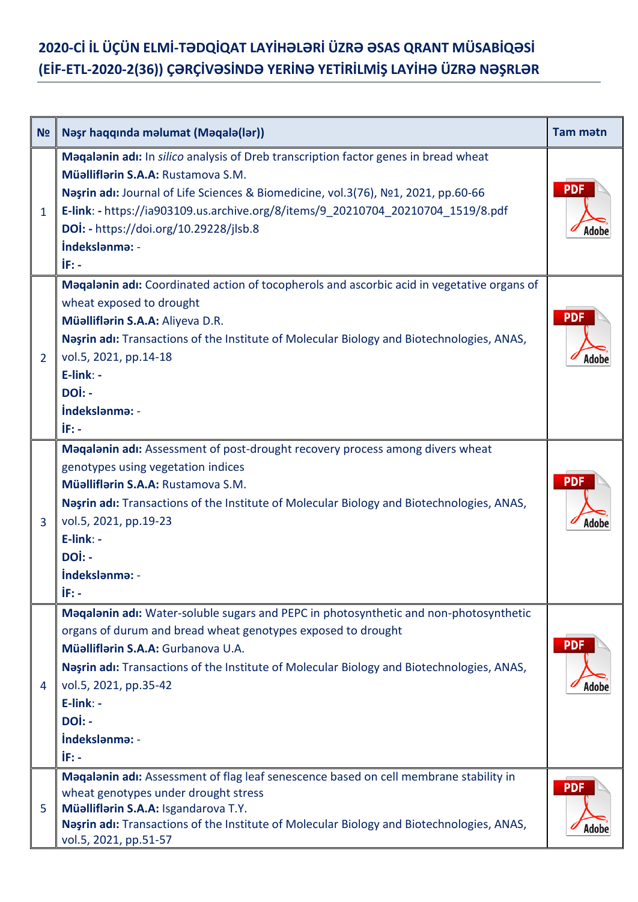## **2020-Cİ İL ÜÇÜN ELMİ-TƏDQİQAT LAYİHƏLƏRİ ÜZRƏ ƏSAS QRANT MÜSABİQƏSİ (EİF-ETL-2020-2(36)) ÇƏRÇİVƏSİNDƏ YERİNƏ YETİRİLMİŞ LAYİHƏ ÜZRƏ NƏŞRLƏR**

| N <sub>2</sub> | Nəşr haqqında məlumat (Məqalə(lər))                                                                                                                                                                                                                                                                                                                                        | <b>Tam matn</b>            |
|----------------|----------------------------------------------------------------------------------------------------------------------------------------------------------------------------------------------------------------------------------------------------------------------------------------------------------------------------------------------------------------------------|----------------------------|
| $\mathbf{1}$   | Magalanin adı: In silico analysis of Dreb transcription factor genes in bread wheat<br>Müəlliflərin S.A.A: Rustamova S.M.<br>Nașrin adı: Journal of Life Sciences & Biomedicine, vol.3(76), Nº1, 2021, pp.60-66<br>E-link: - https://ia903109.us.archive.org/8/items/9_20210704_20210704_1519/8.pdf<br>DOI: - https://doi.org/10.29228/jlsb.8<br>indekslanma: -<br>$IF: -$ | <b>PDF</b><br>Adobe        |
| $\overline{2}$ | Magalanin adı: Coordinated action of tocopherols and ascorbic acid in vegetative organs of<br>wheat exposed to drought<br>Müəlliflərin S.A.A: Aliyeva D.R.<br>Nasrin adı: Transactions of the Institute of Molecular Biology and Biotechnologies, ANAS,<br>vol.5, 2021, pp.14-18<br>$E$ -link: -<br>DOI: -<br>indekslanma: -<br>$IF: -$                                    | <b>PDI</b><br>Adobe        |
| $\overline{3}$ | Magalanin adı: Assessment of post-drought recovery process among divers wheat<br>genotypes using vegetation indices<br>Müəlliflərin S.A.A: Rustamova S.M.<br>Nasrin adı: Transactions of the Institute of Molecular Biology and Biotechnologies, ANAS,<br>vol.5, 2021, pp.19-23<br>$E$ -link: -<br>DOI: -<br>indekslanma: -<br>IF:                                         | <b>PD</b><br>Adobe         |
| 4              | Magalanin adı: Water-soluble sugars and PEPC in photosynthetic and non-photosynthetic<br>organs of durum and bread wheat genotypes exposed to drought<br>Müəlliflərin S.A.A: Gurbanova U.A.<br>Nasrin adı: Transactions of the Institute of Molecular Biology and Biotechnologies, ANAS,<br>vol.5, 2021, pp.35-42<br>$E$ -link: -<br>DOI: -<br>indekslənmə: -<br>$IF: -$   | <b>PDF</b><br>Adobe        |
| 5              | Magalanin adı: Assessment of flag leaf senescence based on cell membrane stability in<br>wheat genotypes under drought stress<br>Müəlliflərin S.A.A: Isgandarova T.Y.<br>Nasrin adı: Transactions of the Institute of Molecular Biology and Biotechnologies, ANAS,<br>vol.5, 2021, pp.51-57                                                                                | <b>PDI</b><br><b>Adobe</b> |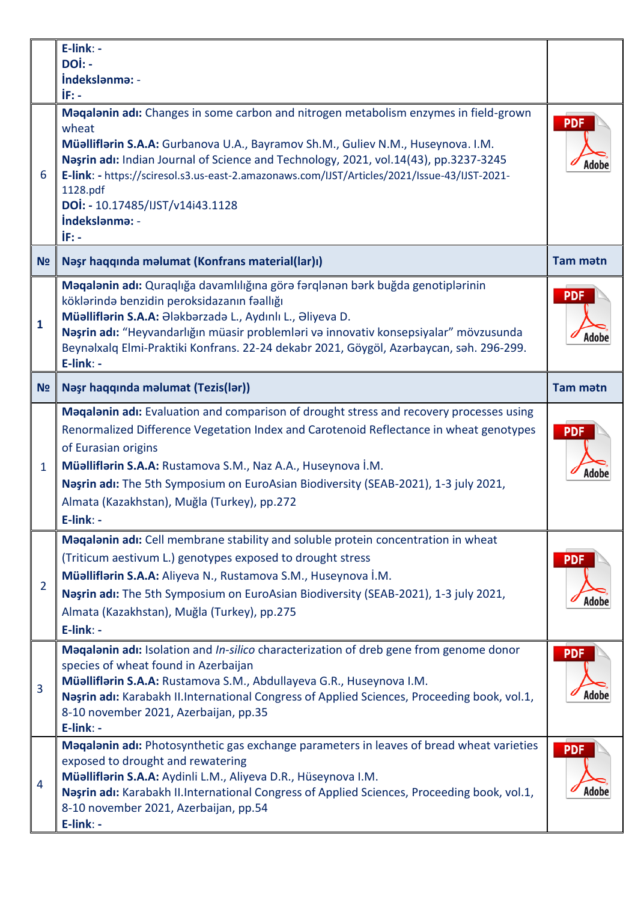|                | $E$ -link: -                                                                                                                                                                                                                                                                                                                                                                                                                                           |                            |
|----------------|--------------------------------------------------------------------------------------------------------------------------------------------------------------------------------------------------------------------------------------------------------------------------------------------------------------------------------------------------------------------------------------------------------------------------------------------------------|----------------------------|
|                | DOI: -<br>indekslanma: -                                                                                                                                                                                                                                                                                                                                                                                                                               |                            |
|                | $IF: -$                                                                                                                                                                                                                                                                                                                                                                                                                                                |                            |
| 6              | Magalanin adı: Changes in some carbon and nitrogen metabolism enzymes in field-grown<br>wheat<br>Müalliflarin S.A.A: Gurbanova U.A., Bayramov Sh.M., Guliev N.M., Huseynova. I.M.<br>Nasrin adı: Indian Journal of Science and Technology, 2021, vol.14(43), pp.3237-3245<br>E-link: - https://sciresol.s3.us-east-2.amazonaws.com/IJST/Articles/2021/Issue-43/IJST-2021-<br>1128.pdf<br>DOİ: - 10.17485/IJST/v14i43.1128<br>indekslanma: -<br>$IF: -$ | <b>PDI</b><br>Adobe        |
| N <sub>2</sub> | Nəşr haqqında məlumat (Konfrans material(lar)ı)                                                                                                                                                                                                                                                                                                                                                                                                        | <b>Tam matn</b>            |
| $\mathbf{1}$   | Məqalənin adı: Quraqlığa davamlılığına görə fərqlənən bərk buğda genotiplərinin<br>köklərində benzidin peroksidazanın fəallığı<br>Müəlliflərin S.A.A: Ələkbərzadə L., Aydınlı L., Əliyeva D.<br>Naşrin adı: "Heyvandarlığın müasir problemləri və innovativ konsepsiyalar" mövzusunda<br>Beynəlxalq Elmi-Praktiki Konfrans. 22-24 dekabr 2021, Göygöl, Azərbaycan, səh. 296-299.<br>$E$ -link: -                                                       | PDI<br><b>Adobe</b>        |
| N <sub>2</sub> | Nəşr haqqında məlumat (Tezis(lər))                                                                                                                                                                                                                                                                                                                                                                                                                     | <b>Tam matn</b>            |
| $\mathbf{1}$   | Magalanin adı: Evaluation and comparison of drought stress and recovery processes using<br>Renormalized Difference Vegetation Index and Carotenoid Reflectance in wheat genotypes<br>of Eurasian origins<br>Müəlliflərin S.A.A: Rustamova S.M., Naz A.A., Huseynova İ.M.<br>Nasrin adı: The 5th Symposium on EuroAsian Biodiversity (SEAB-2021), 1-3 july 2021,<br>Almata (Kazakhstan), Muğla (Turkey), pp.272<br>$E$ -link: -                         | <b>PDF</b><br>Adobe        |
| $\overline{2}$ | Magalanin adı: Cell membrane stability and soluble protein concentration in wheat<br>(Triticum aestivum L.) genotypes exposed to drought stress<br>Müəlliflərin S.A.A: Aliyeva N., Rustamova S.M., Huseynova İ.M.<br>Nasrin adı: The 5th Symposium on EuroAsian Biodiversity (SEAB-2021), 1-3 july 2021,<br>Almata (Kazakhstan), Muğla (Turkey), pp.275<br>$E$ -link: -                                                                                | <b>PDI</b><br><b>Adobe</b> |
| $\overline{3}$ | Magalanin adı: Isolation and In-silico characterization of dreb gene from genome donor<br>species of wheat found in Azerbaijan<br>Müalliflarin S.A.A: Rustamova S.M., Abdullayeva G.R., Huseynova I.M.<br>Nasrin adı: Karabakh II. International Congress of Applied Sciences, Proceeding book, vol.1,<br>8-10 november 2021, Azerbaijan, pp.35<br>$E$ -link: -                                                                                        | <b>PDF</b><br><b>Adobe</b> |
| $\overline{4}$ | Magalanin adi: Photosynthetic gas exchange parameters in leaves of bread wheat varieties<br>exposed to drought and rewatering<br>Müalliflarin S.A.A: Aydinli L.M., Aliyeva D.R., Hüseynova I.M.<br>Nasrin adı: Karabakh II. International Congress of Applied Sciences, Proceeding book, vol.1,<br>8-10 november 2021, Azerbaijan, pp.54<br>$E$ -link: -                                                                                               | <b>PDF</b><br><b>Adobe</b> |